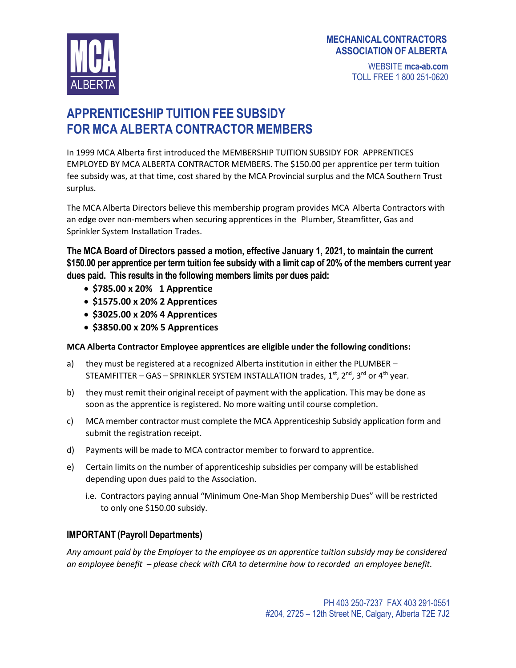### **MECHANICALCONTRACTORS ASSOCIATION OF ALBERTA**



WEBSITE **mca-ab.com** TOLL FREE 1 800 251-0620

# **APPRENTICESHIP TUITION FEE SUBSIDY FOR MCA ALBERTA CONTRACTOR MEMBERS**

In 1999 MCA Alberta first introduced the MEMBERSHIP TUITION SUBSIDY FOR APPRENTICES EMPLOYED BY MCA ALBERTA CONTRACTOR MEMBERS. The \$150.00 per apprentice per term tuition fee subsidy was, at that time, cost shared by the MCA Provincial surplus and the MCA Southern Trust surplus.

The MCA Alberta Directors believe this membership program provides MCA Alberta Contractors with an edge over non-members when securing apprentices in the Plumber, Steamfitter, Gas and Sprinkler System Installation Trades.

**The MCA Board of Directors passed a motion, effective January 1, 2021, to maintain the current \$150.00 per apprentice per term tuition fee subsidy with a limit cap of 20% of the members current year dues paid. This results in the following members limits per dues paid:**

- **\$785.00 x 20% 1 Apprentice**
- **\$1575.00 x 20% 2 Apprentices**
- **\$3025.00 x 20% 4 Apprentices**
- **\$3850.00 x 20% 5 Apprentices**

#### **MCA Alberta Contractor Employee apprentices are eligible under the following conditions:**

- a) they must be registered at a recognized Alberta institution in either the PLUMBER STEAMFITTER – GAS – SPRINKLER SYSTEM INSTALLATION trades,  $1^{\text{st}},$   $2^{\text{nd}},$   $3^{\text{rd}}$  or  $4^{\text{th}}$  year.
- b) they must remit their original receipt of payment with the application. This may be done as soon as the apprentice is registered. No more waiting until course completion.
- c) MCA member contractor must complete the MCA Apprenticeship Subsidy application form and submit the registration receipt.
- d) Payments will be made to MCA contractor member to forward to apprentice.
- e) Certain limits on the number of apprenticeship subsidies per company will be established depending upon dues paid to the Association.
	- i.e. Contractors paying annual "Minimum One-Man Shop Membership Dues" will be restricted to only one \$150.00 subsidy.

### **IMPORTANT (Payroll Departments)**

*Any amount paid by the Employer to the employee as an apprentice tuition subsidy may be considered an employee benefit – please check with CRA to determine how to recorded an employee benefit.*